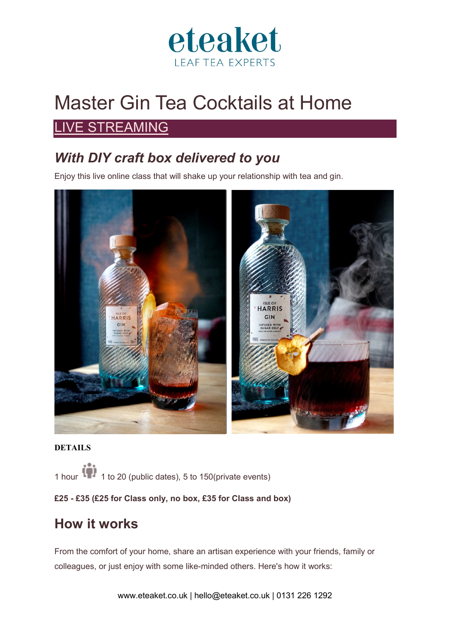

# Master Gin Tea Cocktails at Home

## [LIVE STREAMING](https://classbento.co.uk/live-classes-online)

# *With DIY craft box delivered to you*

Enjoy this live online class that will shake up your relationship with tea and gin.



#### **DETAILS**

1 hour 1 1 to 20 (public dates), 5 to 150(private events)

l**£25 - £35 (£25 for Class only, no box, £35 for Class and box)**

# **How it works**

From the comfort of your home, share an artisan experience with your friends, family or colleagues, or just enjoy with some like-minded others. Here's how it works: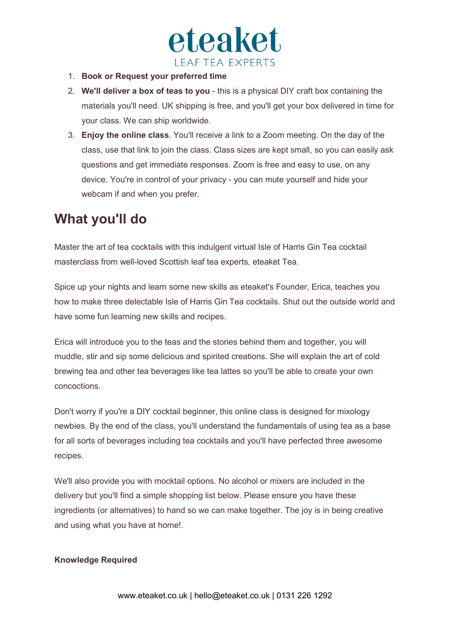

- 1. **Book or Request your preferred time**
- 2. **We'll deliver a box of teas to you** this is a physical DIY craft box containing the materials you'll need. UK shipping is free, and you'll get your box delivered in time for your class. We can ship worldwide.
- 3. **Enjoy the online class**. You'll receive a link to a Zoom meeting. On the day of the class, use that link to join the class. Class sizes are kept small, so you can easily ask questions and get immediate responses. Zoom is free and easy to use, on any device. You're in control of your privacy - you can mute yourself and hide your webcam if and when you prefer.

## **What you'll do**

Master the art of tea cocktails with this indulgent virtual Isle of Harris Gin Tea cocktail masterclass from well-loved Scottish leaf tea experts, eteaket Tea.

Spice up your nights and learn some new skills as eteaket's Founder, Erica, teaches you how to make three delectable Isle of Harris Gin Tea cocktails. Shut out the outside world and have some fun learning new skills and recipes.

Erica will introduce you to the teas and the stories behind them and together, you will muddle, stir and sip some delicious and spirited creations. She will explain the art of cold brewing tea and other tea beverages like tea lattes so you'll be able to create your own concoctions.

Don't worry if you're a DIY cocktail beginner, this online class is designed for mixology newbies. By the end of the class, you'll understand the fundamentals of using tea as a base for all sorts of beverages including tea cocktails and you'll have perfected three awesome recipes.

We'll also provide you with mocktail options. No alcohol or mixers are included in the delivery but you'll find a simple shopping list below. Please ensure you have these ingredients (or alternatives) to hand so we can make together. The joy is in being creative and using what you have at home!.

#### **Knowledge Required**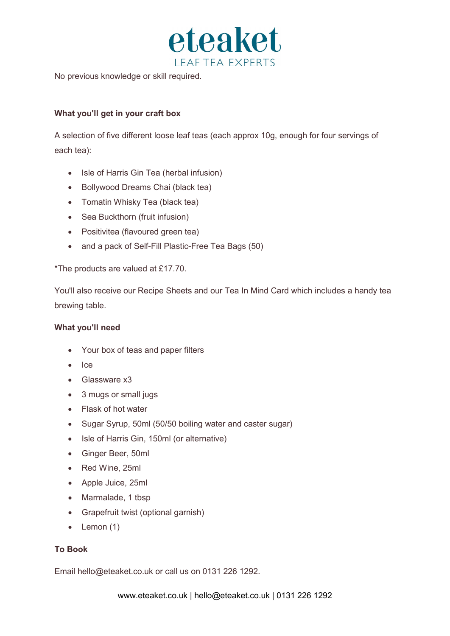

No previous knowledge or skill required.

#### **What you'll get in your craft box**

A selection of five different loose leaf teas (each approx 10g, enough for four servings of each tea):

- Isle of Harris Gin Tea (herbal infusion)
- Bollywood Dreams Chai (black tea)
- Tomatin Whisky Tea (black tea)
- Sea Buckthorn (fruit infusion)
- Positivitea (flavoured green tea)
- and a pack of Self-Fill Plastic-Free Tea Bags (50)

\*The products are valued at £17.70.

You'll also receive our Recipe Sheets and our Tea In Mind Card which includes a handy tea brewing table.

#### **What you'll need**

- Your box of teas and paper filters
- Ice
- Glassware x3
- 3 mugs or small jugs
- Flask of hot water
- Sugar Syrup, 50ml (50/50 boiling water and caster sugar)
- Isle of Harris Gin, 150ml (or alternative)
- Ginger Beer, 50ml
- Red Wine, 25ml
- Apple Juice, 25ml
- Marmalade, 1 tbsp
- Grapefruit twist (optional garnish)
- Lemon (1)

#### **To Book**

Email hello@eteaket.co.uk or call us on 0131 226 1292.